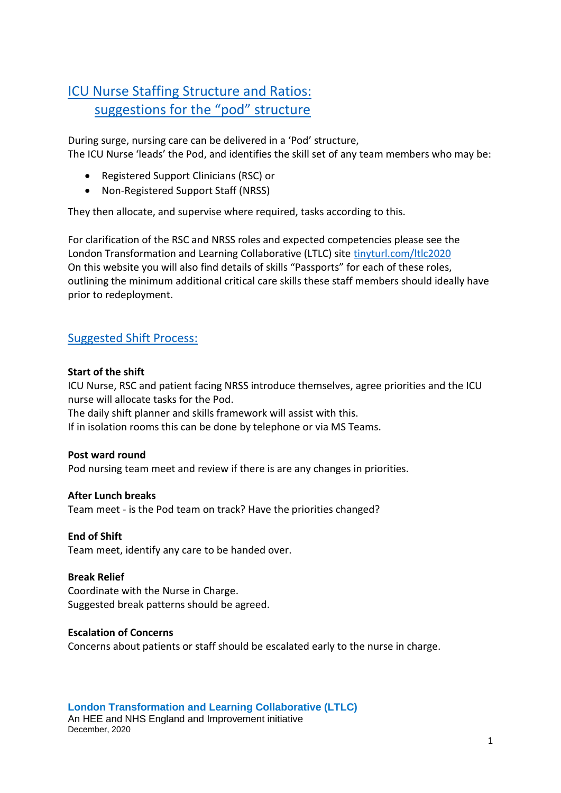# ICU Nurse Staffing Structure and Ratios: suggestions for the "pod" structure

During surge, nursing care can be delivered in a 'Pod' structure, The ICU Nurse 'leads' the Pod, and identifies the skill set of any team members who may be:

- Registered Support Clinicians (RSC) or
- Non-Registered Support Staff (NRSS)

They then allocate, and supervise where required, tasks according to this.

For clarification of the RSC and NRSS roles and expected competencies please see the London Transformation and Learning Collaborative (LTLC) site [tinyturl.com/ltlc2020](https://www.e-lfh.org.uk/programmes/london-transformation-and-learning-collaborative-ltlc/) On this website you will also find details of skills "Passports" for each of these roles, outlining the minimum additional critical care skills these staff members should ideally have prior to redeployment.

## Suggested Shift Process:

### **Start of the shift**

ICU Nurse, RSC and patient facing NRSS introduce themselves, agree priorities and the ICU nurse will allocate tasks for the Pod.

The daily shift planner and skills framework will assist with this.

If in isolation rooms this can be done by telephone or via MS Teams.

#### **Post ward round**

Pod nursing team meet and review if there is are any changes in priorities.

#### **After Lunch breaks**

Team meet - is the Pod team on track? Have the priorities changed?

#### **End of Shift**

Team meet, identify any care to be handed over.

#### **Break Relief**

Coordinate with the Nurse in Charge. Suggested break patterns should be agreed.

#### **Escalation of Concerns**

Concerns about patients or staff should be escalated early to the nurse in charge.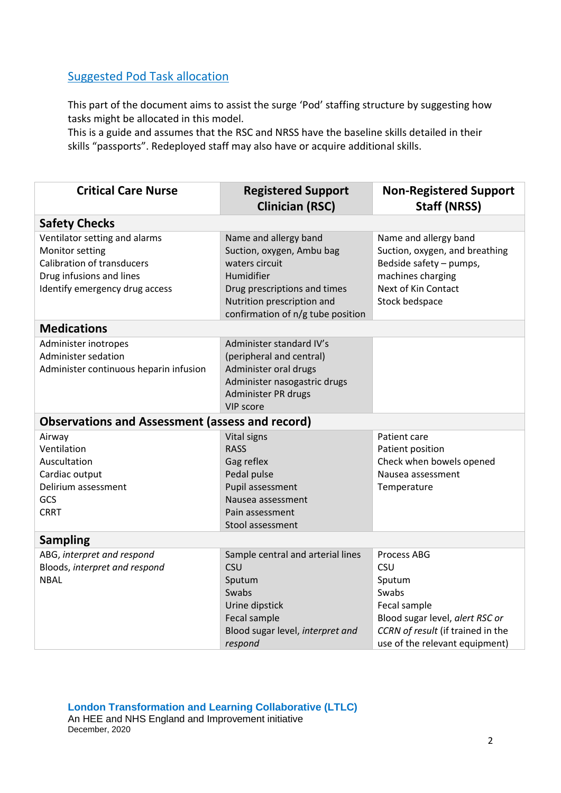## Suggested Pod Task allocation

This part of the document aims to assist the surge 'Pod' staffing structure by suggesting how tasks might be allocated in this model.

This is a guide and assumes that the RSC and NRSS have the baseline skills detailed in their skills "passports". Redeployed staff may also have or acquire additional skills.

| <b>Critical Care Nurse</b>                                                                                                                          | <b>Registered Support</b><br><b>Clinician (RSC)</b>                                                                                                                                   | <b>Non-Registered Support</b><br><b>Staff (NRSS)</b>                                                                                                                   |  |  |
|-----------------------------------------------------------------------------------------------------------------------------------------------------|---------------------------------------------------------------------------------------------------------------------------------------------------------------------------------------|------------------------------------------------------------------------------------------------------------------------------------------------------------------------|--|--|
| <b>Safety Checks</b>                                                                                                                                |                                                                                                                                                                                       |                                                                                                                                                                        |  |  |
| Ventilator setting and alarms<br>Monitor setting<br><b>Calibration of transducers</b><br>Drug infusions and lines<br>Identify emergency drug access | Name and allergy band<br>Suction, oxygen, Ambu bag<br>waters circuit<br>Humidifier<br>Drug prescriptions and times<br>Nutrition prescription and<br>confirmation of n/g tube position | Name and allergy band<br>Suction, oxygen, and breathing<br>Bedside safety - pumps,<br>machines charging<br>Next of Kin Contact<br>Stock bedspace                       |  |  |
| <b>Medications</b>                                                                                                                                  |                                                                                                                                                                                       |                                                                                                                                                                        |  |  |
| Administer inotropes<br>Administer sedation<br>Administer continuous heparin infusion                                                               | Administer standard IV's<br>(peripheral and central)<br>Administer oral drugs<br>Administer nasogastric drugs<br>Administer PR drugs<br>VIP score                                     |                                                                                                                                                                        |  |  |
| <b>Observations and Assessment (assess and record)</b>                                                                                              |                                                                                                                                                                                       |                                                                                                                                                                        |  |  |
| Airway<br>Ventilation<br>Auscultation<br>Cardiac output<br>Delirium assessment<br>GCS<br><b>CRRT</b>                                                | <b>Vital signs</b><br><b>RASS</b><br>Gag reflex<br>Pedal pulse<br>Pupil assessment<br>Nausea assessment<br>Pain assessment<br>Stool assessment                                        | Patient care<br>Patient position<br>Check when bowels opened<br>Nausea assessment<br>Temperature                                                                       |  |  |
| <b>Sampling</b>                                                                                                                                     |                                                                                                                                                                                       |                                                                                                                                                                        |  |  |
| ABG, interpret and respond<br>Bloods, interpret and respond<br><b>NBAL</b>                                                                          | Sample central and arterial lines<br><b>CSU</b><br>Sputum<br>Swabs<br>Urine dipstick<br>Fecal sample<br>Blood sugar level, interpret and<br>respond                                   | <b>Process ABG</b><br>CSU<br>Sputum<br>Swabs<br>Fecal sample<br>Blood sugar level, alert RSC or<br>CCRN of result (if trained in the<br>use of the relevant equipment) |  |  |

**London Transformation and Learning Collaborative (LTLC)** An HEE and NHS England and Improvement initiative December, 2020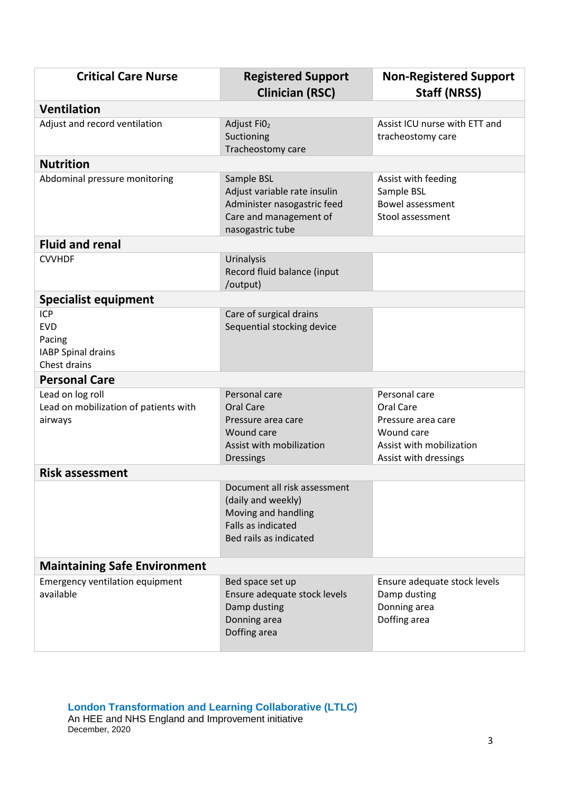| <b>Critical Care Nurse</b>                                                      | <b>Registered Support</b><br><b>Clinician (RSC)</b>                                                                       | <b>Non-Registered Support</b><br><b>Staff (NRSS)</b>                                                                |  |  |
|---------------------------------------------------------------------------------|---------------------------------------------------------------------------------------------------------------------------|---------------------------------------------------------------------------------------------------------------------|--|--|
| <b>Ventilation</b>                                                              |                                                                                                                           |                                                                                                                     |  |  |
| Adjust and record ventilation                                                   | Adjust Fi <sub>02</sub><br>Suctioning<br>Tracheostomy care                                                                | Assist ICU nurse with ETT and<br>tracheostomy care                                                                  |  |  |
| <b>Nutrition</b>                                                                |                                                                                                                           |                                                                                                                     |  |  |
| Abdominal pressure monitoring                                                   | Sample BSL<br>Adjust variable rate insulin<br>Administer nasogastric feed<br>Care and management of<br>nasogastric tube   | Assist with feeding<br>Sample BSL<br>Bowel assessment<br>Stool assessment                                           |  |  |
| <b>Fluid and renal</b>                                                          |                                                                                                                           |                                                                                                                     |  |  |
| <b>CVVHDF</b>                                                                   | Urinalysis<br>Record fluid balance (input<br>/output)                                                                     |                                                                                                                     |  |  |
| <b>Specialist equipment</b>                                                     |                                                                                                                           |                                                                                                                     |  |  |
| <b>ICP</b><br><b>EVD</b><br>Pacing<br><b>IABP Spinal drains</b><br>Chest drains | Care of surgical drains<br>Sequential stocking device                                                                     |                                                                                                                     |  |  |
| <b>Personal Care</b>                                                            |                                                                                                                           |                                                                                                                     |  |  |
| Lead on log roll<br>Lead on mobilization of patients with<br>airways            | Personal care<br><b>Oral Care</b><br>Pressure area care<br>Wound care<br>Assist with mobilization<br>Dressings            | Personal care<br>Oral Care<br>Pressure area care<br>Wound care<br>Assist with mobilization<br>Assist with dressings |  |  |
| <b>Risk assessment</b>                                                          |                                                                                                                           |                                                                                                                     |  |  |
|                                                                                 | Document all risk assessment<br>(daily and weekly)<br>Moving and handling<br>Falls as indicated<br>Bed rails as indicated |                                                                                                                     |  |  |
| <b>Maintaining Safe Environment</b>                                             |                                                                                                                           |                                                                                                                     |  |  |
| <b>Emergency ventilation equipment</b><br>available                             | Bed space set up<br>Ensure adequate stock levels<br>Damp dusting<br>Donning area<br>Doffing area                          | Ensure adequate stock levels<br>Damp dusting<br>Donning area<br>Doffing area                                        |  |  |

**London Transformation and Learning Collaborative (LTLC)** An HEE and NHS England and Improvement initiative December, 2020